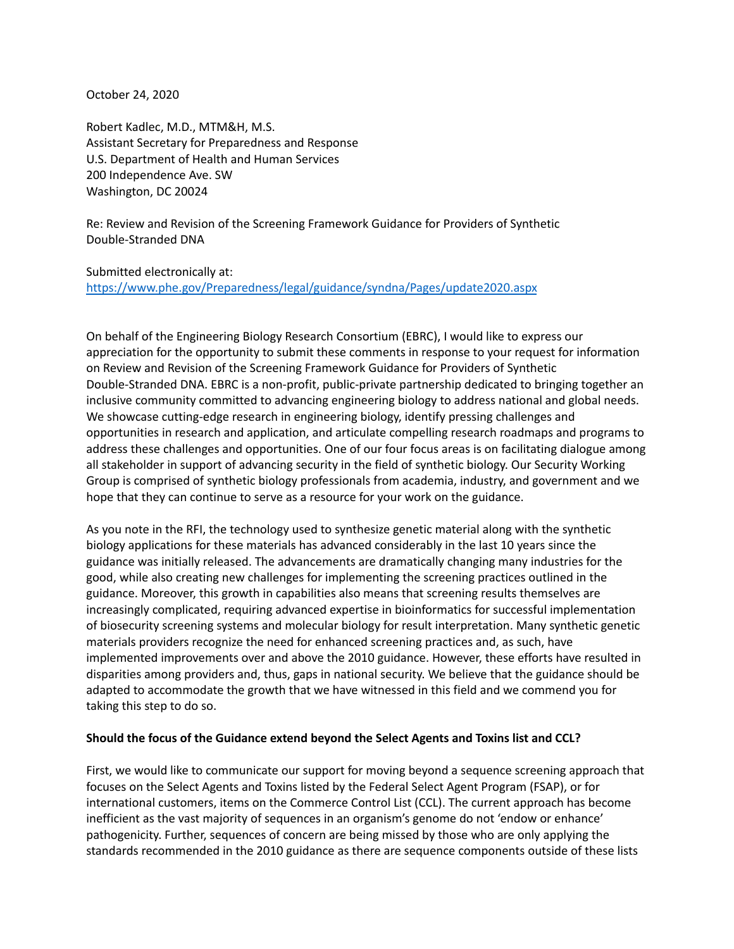October 24, 2020

Robert Kadlec, M.D., MTM&H, M.S. Assistant Secretary for Preparedness and Response U.S. Department of Health and Human Services 200 Independence Ave. SW Washington, DC 20024

Re: Review and Revision of the Screening Framework Guidance for Providers of Synthetic Double-Stranded DNA

Submitted electronically at: <https://www.phe.gov/Preparedness/legal/guidance/syndna/Pages/update2020.aspx>

On behalf of the Engineering Biology Research Consortium (EBRC), I would like to express our appreciation for the opportunity to submit these comments in response to your request for information on Review and Revision of the Screening Framework Guidance for Providers of Synthetic Double-Stranded DNA. EBRC is a non-profit, public-private partnership dedicated to bringing together an inclusive community committed to advancing engineering biology to address national and global needs. We showcase cutting-edge research in engineering biology, identify pressing challenges and opportunities in research and application, and articulate compelling research roadmaps and programs to address these challenges and opportunities. One of our four focus areas is on facilitating dialogue among all stakeholder in support of advancing security in the field of synthetic biology. Our Security Working Group is comprised of synthetic biology professionals from academia, industry, and government and we hope that they can continue to serve as a resource for your work on the guidance.

As you note in the RFI, the technology used to synthesize genetic material along with the synthetic biology applications for these materials has advanced considerably in the last 10 years since the guidance was initially released. The advancements are dramatically changing many industries for the good, while also creating new challenges for implementing the screening practices outlined in the guidance. Moreover, this growth in capabilities also means that screening results themselves are increasingly complicated, requiring advanced expertise in bioinformatics for successful implementation of biosecurity screening systems and molecular biology for result interpretation. Many synthetic genetic materials providers recognize the need for enhanced screening practices and, as such, have implemented improvements over and above the 2010 guidance. However, these efforts have resulted in disparities among providers and, thus, gaps in national security. We believe that the guidance should be adapted to accommodate the growth that we have witnessed in this field and we commend you for taking this step to do so.

### **Should the focus of the Guidance extend beyond the Select Agents and Toxins list and CCL?**

First, we would like to communicate our support for moving beyond a sequence screening approach that focuses on the Select Agents and Toxins listed by the Federal Select Agent Program (FSAP), or for international customers, items on the Commerce Control List (CCL). The current approach has become inefficient as the vast majority of sequences in an organism's genome do not 'endow or enhance' pathogenicity. Further, sequences of concern are being missed by those who are only applying the standards recommended in the 2010 guidance as there are sequence components outside of these lists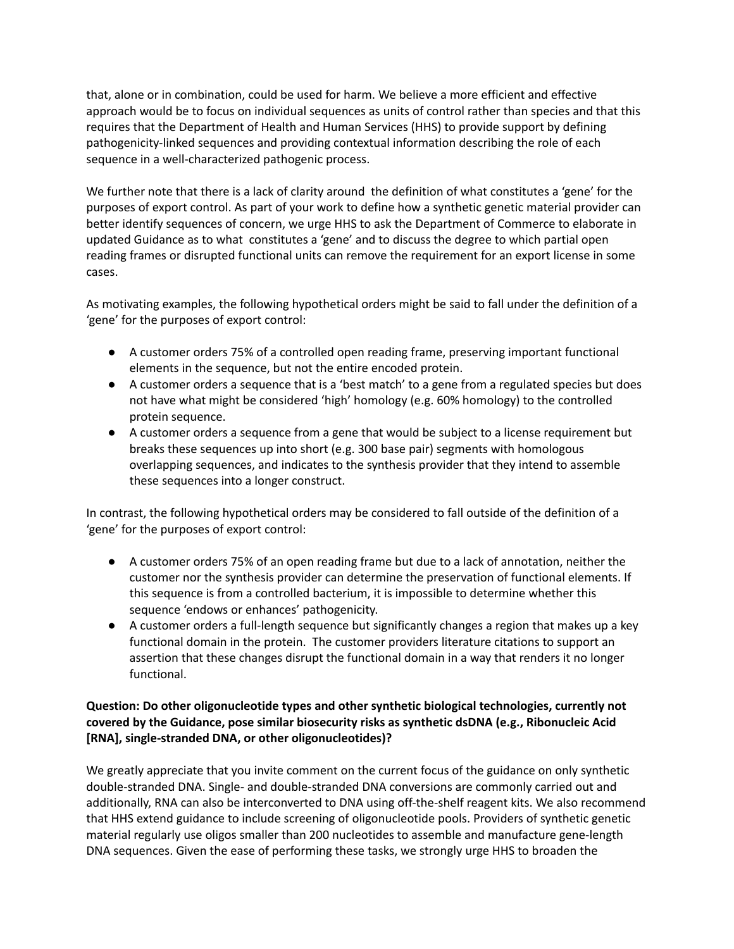that, alone or in combination, could be used for harm. We believe a more efficient and effective approach would be to focus on individual sequences as units of control rather than species and that this requires that the Department of Health and Human Services (HHS) to provide support by defining pathogenicity-linked sequences and providing contextual information describing the role of each sequence in a well-characterized pathogenic process.

We further note that there is a lack of clarity around the definition of what constitutes a 'gene' for the purposes of export control. As part of your work to define how a synthetic genetic material provider can better identify sequences of concern, we urge HHS to ask the Department of Commerce to elaborate in updated Guidance as to what constitutes a 'gene' and to discuss the degree to which partial open reading frames or disrupted functional units can remove the requirement for an export license in some cases.

As motivating examples, the following hypothetical orders might be said to fall under the definition of a 'gene' for the purposes of export control:

- A customer orders 75% of a controlled open reading frame, preserving important functional elements in the sequence, but not the entire encoded protein.
- A customer orders a sequence that is a 'best match' to a gene from a regulated species but does not have what might be considered 'high' homology (e.g. 60% homology) to the controlled protein sequence.
- A customer orders a sequence from a gene that would be subject to a license requirement but breaks these sequences up into short (e.g. 300 base pair) segments with homologous overlapping sequences, and indicates to the synthesis provider that they intend to assemble these sequences into a longer construct.

In contrast, the following hypothetical orders may be considered to fall outside of the definition of a 'gene' for the purposes of export control:

- A customer orders 75% of an open reading frame but due to a lack of annotation, neither the customer nor the synthesis provider can determine the preservation of functional elements. If this sequence is from a controlled bacterium, it is impossible to determine whether this sequence 'endows or enhances' pathogenicity.
- A customer orders a full-length sequence but significantly changes a region that makes up a key functional domain in the protein. The customer providers literature citations to support an assertion that these changes disrupt the functional domain in a way that renders it no longer functional.

## **Question: Do other oligonucleotide types and other synthetic biological technologies, currently not covered by the Guidance, pose similar biosecurity risks as synthetic dsDNA (e.g., Ribonucleic Acid [RNA], single-stranded DNA, or other oligonucleotides)?**

We greatly appreciate that you invite comment on the current focus of the guidance on only synthetic double-stranded DNA. Single- and double-stranded DNA conversions are commonly carried out and additionally, RNA can also be interconverted to DNA using off-the-shelf reagent kits. We also recommend that HHS extend guidance to include screening of oligonucleotide pools. Providers of synthetic genetic material regularly use oligos smaller than 200 nucleotides to assemble and manufacture gene-length DNA sequences. Given the ease of performing these tasks, we strongly urge HHS to broaden the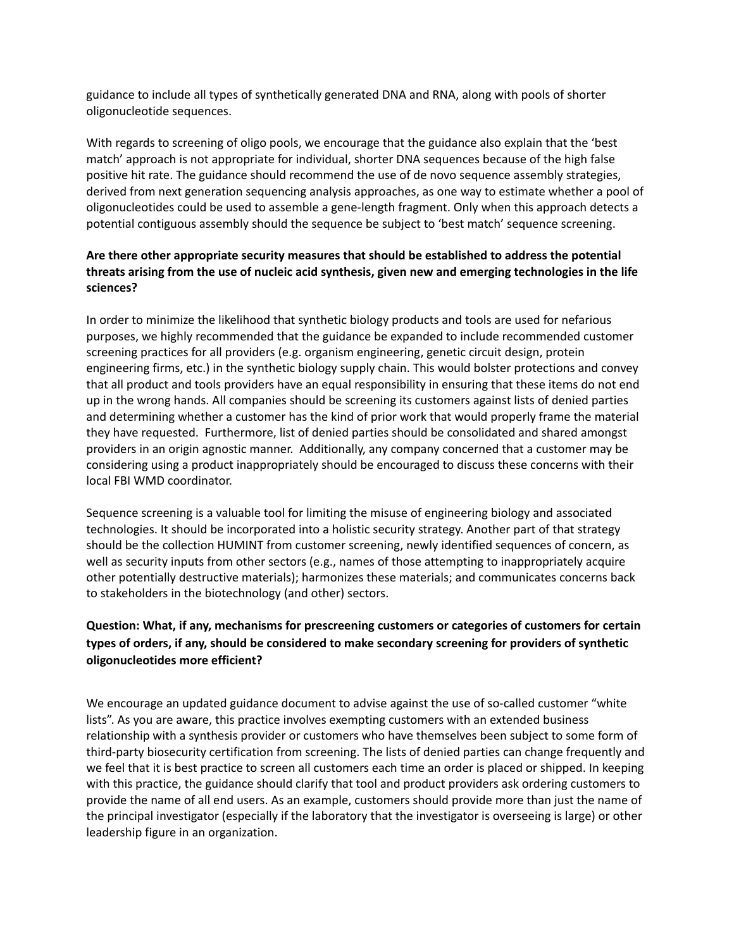guidance to include all types of synthetically generated DNA and RNA, along with pools of shorter oligonucleotide sequences.

With regards to screening of oligo pools, we encourage that the guidance also explain that the 'best match' approach is not appropriate for individual, shorter DNA sequences because of the high false positive hit rate. The guidance should recommend the use of de novo sequence assembly strategies, derived from next generation sequencing analysis approaches, as one way to estimate whether a pool of oligonucleotides could be used to assemble a gene-length fragment. Only when this approach detects a potential contiguous assembly should the sequence be subject to 'best match' sequence screening.

### **Are there other appropriate security measures that should be established to address the potential threats arising from the use of nucleic acid synthesis, given new and emerging technologies in the life sciences?**

In order to minimize the likelihood that synthetic biology products and tools are used for nefarious purposes, we highly recommended that the guidance be expanded to include recommended customer screening practices for all providers (e.g. organism engineering, genetic circuit design, protein engineering firms, etc.) in the synthetic biology supply chain. This would bolster protections and convey that all product and tools providers have an equal responsibility in ensuring that these items do not end up in the wrong hands. All companies should be screening its customers against lists of denied parties and determining whether a customer has the kind of prior work that would properly frame the material they have requested. Furthermore, list of denied parties should be consolidated and shared amongst providers in an origin agnostic manner. Additionally, any company concerned that a customer may be considering using a product inappropriately should be encouraged to discuss these concerns with their local FBI WMD coordinator.

Sequence screening is a valuable tool for limiting the misuse of engineering biology and associated technologies. It should be incorporated into a holistic security strategy. Another part of that strategy should be the collection HUMINT from customer screening, newly identified sequences of concern, as well as security inputs from other sectors (e.g., names of those attempting to inappropriately acquire other potentially destructive materials); harmonizes these materials; and communicates concerns back to stakeholders in the biotechnology (and other) sectors.

# **Question: What, if any, mechanisms for prescreening customers or categories of customers for certain types of orders, if any, should be considered to make secondary screening for providers of synthetic oligonucleotides more efficient?**

We encourage an updated guidance document to advise against the use of so-called customer "white lists". As you are aware, this practice involves exempting customers with an extended business relationship with a synthesis provider or customers who have themselves been subject to some form of third-party biosecurity certification from screening. The lists of denied parties can change frequently and we feel that it is best practice to screen all customers each time an order is placed or shipped. In keeping with this practice, the guidance should clarify that tool and product providers ask ordering customers to provide the name of all end users. As an example, customers should provide more than just the name of the principal investigator (especially if the laboratory that the investigator is overseeing is large) or other leadership figure in an organization.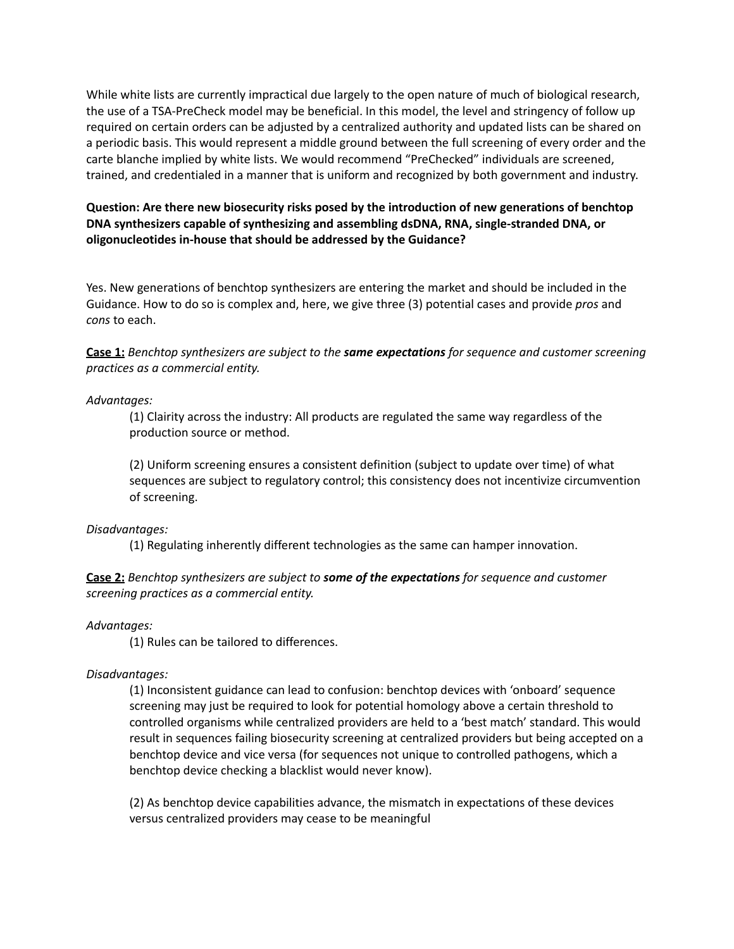While white lists are currently impractical due largely to the open nature of much of biological research, the use of a TSA-PreCheck model may be beneficial. In this model, the level and stringency of follow up required on certain orders can be adjusted by a centralized authority and updated lists can be shared on a periodic basis. This would represent a middle ground between the full screening of every order and the carte blanche implied by white lists. We would recommend "PreChecked" individuals are screened, trained, and credentialed in a manner that is uniform and recognized by both government and industry.

### **Question: Are there new biosecurity risks posed by the introduction of new generations of benchtop DNA synthesizers capable of synthesizing and assembling dsDNA, RNA, single-stranded DNA, or oligonucleotides in-house that should be addressed by the Guidance?**

Yes. New generations of benchtop synthesizers are entering the market and should be included in the Guidance. How to do so is complex and, here, we give three (3) potential cases and provide *pros* and *cons* to each.

### **Case 1:** *Benchtop synthesizers are subject to the same expectations for sequence and customer screening practices as a commercial entity.*

### *Advantages:*

(1) Clairity across the industry: All products are regulated the same way regardless of the production source or method.

(2) Uniform screening ensures a consistent definition (subject to update over time) of what sequences are subject to regulatory control; this consistency does not incentivize circumvention of screening.

#### *Disadvantages:*

(1) Regulating inherently different technologies as the same can hamper innovation.

### **Case 2:** *Benchtop synthesizers are subject to some of the expectations for sequence and customer screening practices as a commercial entity.*

*Advantages:*

(1) Rules can be tailored to differences.

### *Disadvantages:*

(1) Inconsistent guidance can lead to confusion: benchtop devices with 'onboard' sequence screening may just be required to look for potential homology above a certain threshold to controlled organisms while centralized providers are held to a 'best match' standard. This would result in sequences failing biosecurity screening at centralized providers but being accepted on a benchtop device and vice versa (for sequences not unique to controlled pathogens, which a benchtop device checking a blacklist would never know).

(2) As benchtop device capabilities advance, the mismatch in expectations of these devices versus centralized providers may cease to be meaningful